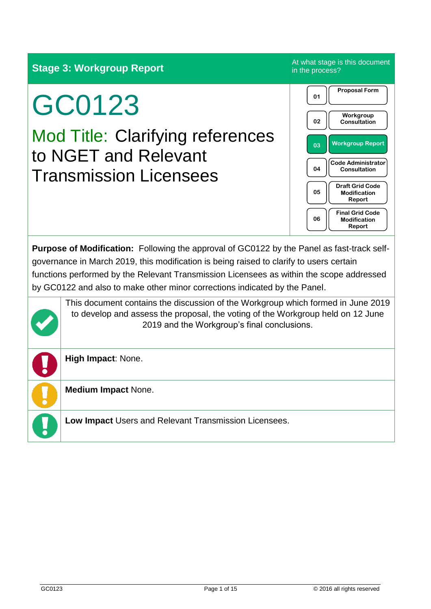**Stage 3: Workgroup Report** At what stage is this document

# GC0123

Mod Title: Clarifying references to NGET and Relevant Transmission Licensees



**Purpose of Modification:** Following the approval of GC0122 by the Panel as fast-track selfgovernance in March 2019, this modification is being raised to clarify to users certain functions performed by the Relevant Transmission Licensees as within the scope addressed by GC0122 and also to make other minor corrections indicated by the Panel.

This document contains the discussion of the Workgroup which formed in June 2019 to develop and assess the proposal, the voting of the Workgroup held on 12 June 2019 and the Workgroup's final conclusions.

**High Impact**: None.

**Medium Impact** None.

**Low Impact** Users and Relevant Transmission Licensees.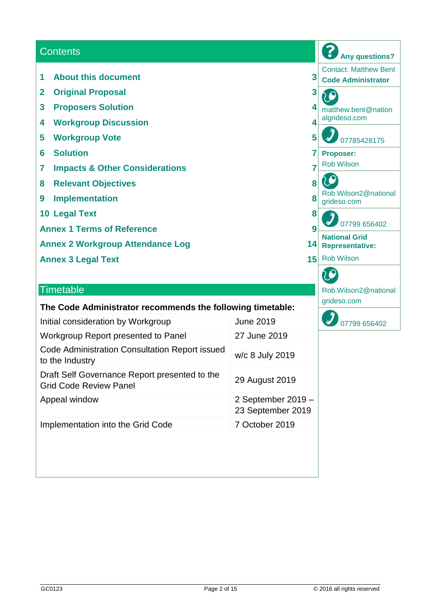| <b>Contents</b>                                                   |                  |                                     | <b>Any questions?</b>                                     |
|-------------------------------------------------------------------|------------------|-------------------------------------|-----------------------------------------------------------|
| <b>About this document</b><br>1                                   |                  | 3                                   | <b>Contact: Matthew Bent</b><br><b>Code Administrator</b> |
| <b>Original Proposal</b><br>$\overline{\mathbf{2}}$               |                  | 3                                   |                                                           |
| $\mathbf{3}$<br><b>Proposers Solution</b>                         |                  |                                     | matthew.bent@nation                                       |
| <b>Workgroup Discussion</b><br>4                                  | 4                | algrideso.com                       |                                                           |
| <b>Workgroup Vote</b><br>5                                        |                  | 5                                   | 07785428175                                               |
| <b>Solution</b><br>6                                              |                  | <b>Proposer:</b>                    |                                                           |
| <b>Impacts &amp; Other Considerations</b><br>7                    |                  | <b>Rob Wilson</b>                   |                                                           |
| <b>Relevant Objectives</b><br>8                                   | 8                |                                     |                                                           |
| <b>Implementation</b><br>$\boldsymbol{9}$                         | 8                | Rob.Wilson2@national<br>grideso.com |                                                           |
| <b>10 Legal Text</b>                                              |                  | 8                                   |                                                           |
| <b>Annex 1 Terms of Reference</b>                                 |                  | 9                                   | 07799 656402                                              |
| <b>Annex 2 Workgroup Attendance Log</b>                           |                  | 14                                  | <b>National Grid</b><br><b>Representative:</b>            |
| <b>Annex 3 Legal Text</b>                                         |                  | 15                                  | <b>Rob Wilson</b>                                         |
|                                                                   |                  |                                     |                                                           |
| <b>Timetable</b>                                                  |                  |                                     | Rob.Wilson2@national                                      |
| The Code Administrator recommends the following timetable:        |                  | grideso.com                         |                                                           |
| Initial consideration by Workgroup                                | <b>June 2019</b> |                                     | 07799 656402                                              |
| Workgroup Report presented to Panel                               | 27 June 2019     |                                     |                                                           |
| Code Administration Consultation Report issued<br>to the Industry | w/c 8 July 2019  |                                     |                                                           |

Draft Self Governance Report presented to the

Drait Seil Governance Report presented to the<br>Grid Code Review Panel

Implementation into the Grid Code 7 October 2019

Appeal window 2 September 2019 –

23 September 2019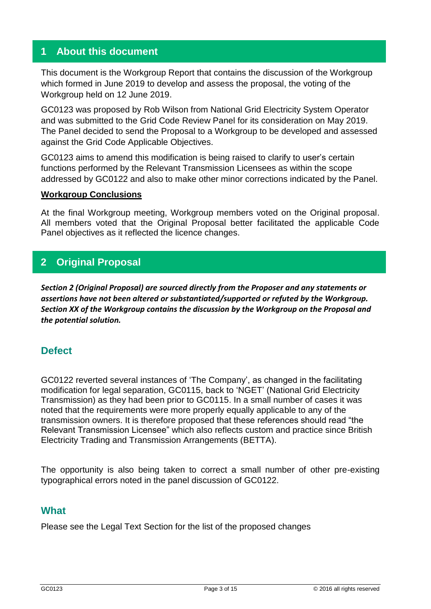## **1 About this document**

This document is the Workgroup Report that contains the discussion of the Workgroup which formed in June 2019 to develop and assess the proposal, the voting of the Workgroup held on 12 June 2019.

GC0123 was proposed by Rob Wilson from National Grid Electricity System Operator and was submitted to the Grid Code Review Panel for its consideration on May 2019. The Panel decided to send the Proposal to a Workgroup to be developed and assessed against the Grid Code Applicable Objectives.

GC0123 aims to amend this modification is being raised to clarify to user's certain functions performed by the Relevant Transmission Licensees as within the scope addressed by GC0122 and also to make other minor corrections indicated by the Panel.

#### **Workgroup Conclusions**

At the final Workgroup meeting, Workgroup members voted on the Original proposal. All members voted that the Original Proposal better facilitated the applicable Code Panel objectives as it reflected the licence changes.

## **2 Original Proposal**

*Section 2 (Original Proposal) are sourced directly from the Proposer and any statements or assertions have not been altered or substantiated/supported or refuted by the Workgroup. Section XX of the Workgroup contains the discussion by the Workgroup on the Proposal and the potential solution.*

## **Defect**

GC0122 reverted several instances of 'The Company', as changed in the facilitating modification for legal separation, GC0115, back to 'NGET' (National Grid Electricity Transmission) as they had been prior to GC0115. In a small number of cases it was noted that the requirements were more properly equally applicable to any of the transmission owners. It is therefore proposed that these references should read "the Relevant Transmission Licensee" which also reflects custom and practice since British Electricity Trading and Transmission Arrangements (BETTA).

The opportunity is also being taken to correct a small number of other pre-existing typographical errors noted in the panel discussion of GC0122.

## **What**

Please see the Legal Text Section for the list of the proposed changes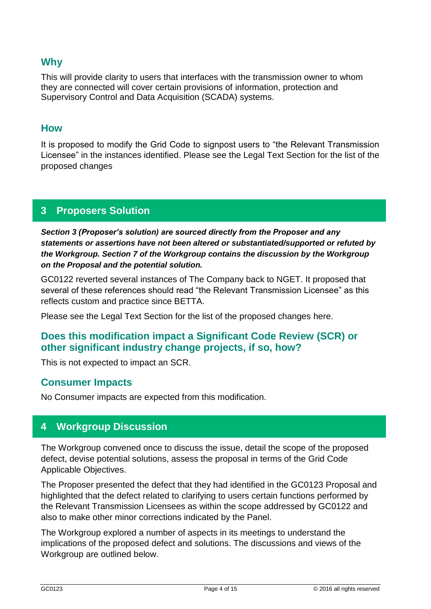## **Why**

This will provide clarity to users that interfaces with the transmission owner to whom they are connected will cover certain provisions of information, protection and Supervisory Control and Data Acquisition (SCADA) systems.

## **How**

It is proposed to modify the Grid Code to signpost users to "the Relevant Transmission Licensee" in the instances identified. Please see the Legal Text Section for the list of the proposed changes

## **3 Proposers Solution**

*Section 3 (Proposer's solution) are sourced directly from the Proposer and any statements or assertions have not been altered or substantiated/supported or refuted by the Workgroup. Section 7 of the Workgroup contains the discussion by the Workgroup on the Proposal and the potential solution.*

GC0122 reverted several instances of The Company back to NGET. It proposed that several of these references should read "the Relevant Transmission Licensee" as this reflects custom and practice since BETTA.

Please see the Legal Text Section for the list of the proposed changes here.

## **Does this modification impact a Significant Code Review (SCR) or other significant industry change projects, if so, how?**

This is not expected to impact an SCR.

## **Consumer Impacts**

No Consumer impacts are expected from this modification.

## **4 Workgroup Discussion**

The Workgroup convened once to discuss the issue, detail the scope of the proposed defect, devise potential solutions, assess the proposal in terms of the Grid Code Applicable Objectives.

The Proposer presented the defect that they had identified in the GC0123 Proposal and highlighted that the defect related to clarifying to users certain functions performed by the Relevant Transmission Licensees as within the scope addressed by GC0122 and also to make other minor corrections indicated by the Panel.

The Workgroup explored a number of aspects in its meetings to understand the implications of the proposed defect and solutions. The discussions and views of the Workgroup are outlined below.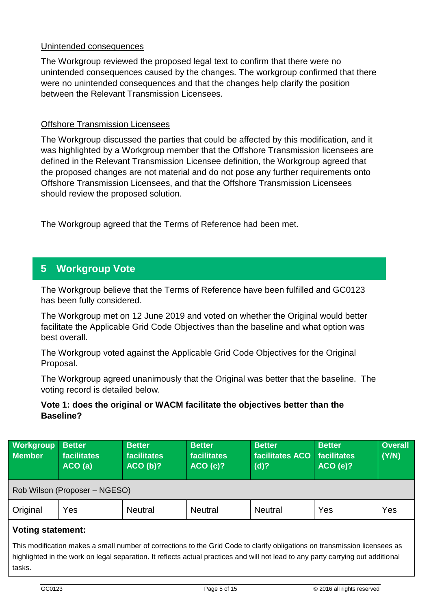## Unintended consequences

The Workgroup reviewed the proposed legal text to confirm that there were no unintended consequences caused by the changes. The workgroup confirmed that there were no unintended consequences and that the changes help clarify the position between the Relevant Transmission Licensees.

## Offshore Transmission Licensees

The Workgroup discussed the parties that could be affected by this modification, and it was highlighted by a Workgroup member that the Offshore Transmission licensees are defined in the Relevant Transmission Licensee definition, the Workgroup agreed that the proposed changes are not material and do not pose any further requirements onto Offshore Transmission Licensees, and that the Offshore Transmission Licensees should review the proposed solution.

The Workgroup agreed that the Terms of Reference had been met.

## **5 Workgroup Vote**

The Workgroup believe that the Terms of Reference have been fulfilled and GC0123 has been fully considered.

The Workgroup met on 12 June 2019 and voted on whether the Original would better facilitate the Applicable Grid Code Objectives than the baseline and what option was best overall.

The Workgroup voted against the Applicable Grid Code Objectives for the Original Proposal.

The Workgroup agreed unanimously that the Original was better that the baseline. The voting record is detailed below.

## **Vote 1: does the original or WACM facilitate the objectives better than the Baseline?**

| <b>Workgroup</b><br><b>Member</b> | <b>Better</b><br>facilitates<br>ACO(a) | <b>Better</b><br>facilitates<br>ACO(b)? | <b>Better</b><br><b>facilitates</b><br>ACO(C)? | <b>Better</b><br>facilitates ACO<br>$(d)$ ? | <b>Better</b><br>facilitates<br>ACO(e)? | <b>Overall</b><br>(Y/N) |
|-----------------------------------|----------------------------------------|-----------------------------------------|------------------------------------------------|---------------------------------------------|-----------------------------------------|-------------------------|
|                                   | Rob Wilson (Proposer – NGESO)          |                                         |                                                |                                             |                                         |                         |
| Original                          | Yes                                    | <b>Neutral</b>                          | <b>Neutral</b>                                 | <b>Neutral</b>                              | Yes                                     | Yes                     |
| <b>Voting statement:</b>          |                                        |                                         |                                                |                                             |                                         |                         |

This modification makes a small number of corrections to the Grid Code to clarify obligations on transmission licensees as highlighted in the work on legal separation. It reflects actual practices and will not lead to any party carrying out additional tasks.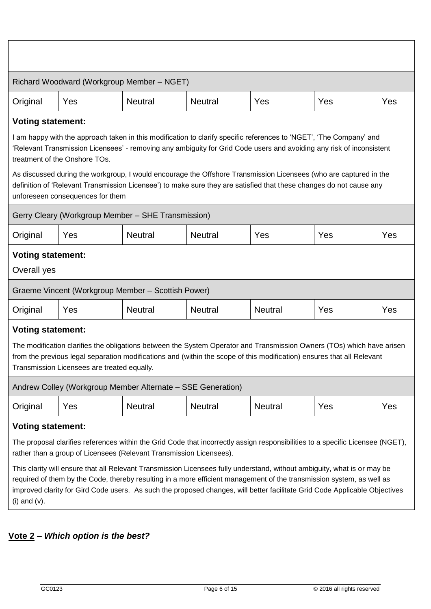|                                                                                                                                                                                                                                                                                                                                                                                                                                                                                                                                                                                          | Richard Woodward (Workgroup Member - NGET)                                                                                                                                                                                                                                                                                                                                                                                                                                                                                                                                               |                |                |                |     |     |  |  |
|------------------------------------------------------------------------------------------------------------------------------------------------------------------------------------------------------------------------------------------------------------------------------------------------------------------------------------------------------------------------------------------------------------------------------------------------------------------------------------------------------------------------------------------------------------------------------------------|------------------------------------------------------------------------------------------------------------------------------------------------------------------------------------------------------------------------------------------------------------------------------------------------------------------------------------------------------------------------------------------------------------------------------------------------------------------------------------------------------------------------------------------------------------------------------------------|----------------|----------------|----------------|-----|-----|--|--|
| Original                                                                                                                                                                                                                                                                                                                                                                                                                                                                                                                                                                                 | Yes                                                                                                                                                                                                                                                                                                                                                                                                                                                                                                                                                                                      | <b>Neutral</b> | <b>Neutral</b> | Yes            | Yes | Yes |  |  |
| <b>Voting statement:</b><br>I am happy with the approach taken in this modification to clarify specific references to 'NGET', 'The Company' and<br>'Relevant Transmission Licensees' - removing any ambiguity for Grid Code users and avoiding any risk of inconsistent<br>treatment of the Onshore TOs.<br>As discussed during the workgroup, I would encourage the Offshore Transmission Licensees (who are captured in the<br>definition of 'Relevant Transmission Licensee') to make sure they are satisfied that these changes do not cause any<br>unforeseen consequences for them |                                                                                                                                                                                                                                                                                                                                                                                                                                                                                                                                                                                          |                |                |                |     |     |  |  |
| Gerry Cleary (Workgroup Member - SHE Transmission)                                                                                                                                                                                                                                                                                                                                                                                                                                                                                                                                       |                                                                                                                                                                                                                                                                                                                                                                                                                                                                                                                                                                                          |                |                |                |     |     |  |  |
| Original                                                                                                                                                                                                                                                                                                                                                                                                                                                                                                                                                                                 | Yes                                                                                                                                                                                                                                                                                                                                                                                                                                                                                                                                                                                      | <b>Neutral</b> | <b>Neutral</b> | Yes            | Yes | Yes |  |  |
| <b>Voting statement:</b><br>Overall yes                                                                                                                                                                                                                                                                                                                                                                                                                                                                                                                                                  |                                                                                                                                                                                                                                                                                                                                                                                                                                                                                                                                                                                          |                |                |                |     |     |  |  |
|                                                                                                                                                                                                                                                                                                                                                                                                                                                                                                                                                                                          | Graeme Vincent (Workgroup Member - Scottish Power)                                                                                                                                                                                                                                                                                                                                                                                                                                                                                                                                       |                |                |                |     |     |  |  |
| Original                                                                                                                                                                                                                                                                                                                                                                                                                                                                                                                                                                                 | Yes                                                                                                                                                                                                                                                                                                                                                                                                                                                                                                                                                                                      | <b>Neutral</b> | <b>Neutral</b> | <b>Neutral</b> | Yes | Yes |  |  |
| <b>Voting statement:</b><br>The modification clarifies the obligations between the System Operator and Transmission Owners (TOs) which have arisen<br>from the previous legal separation modifications and (within the scope of this modification) ensures that all Relevant<br>Transmission Licensees are treated equally.                                                                                                                                                                                                                                                              |                                                                                                                                                                                                                                                                                                                                                                                                                                                                                                                                                                                          |                |                |                |     |     |  |  |
|                                                                                                                                                                                                                                                                                                                                                                                                                                                                                                                                                                                          | Andrew Colley (Workgroup Member Alternate - SSE Generation)                                                                                                                                                                                                                                                                                                                                                                                                                                                                                                                              |                |                |                |     |     |  |  |
| Original                                                                                                                                                                                                                                                                                                                                                                                                                                                                                                                                                                                 | Yes                                                                                                                                                                                                                                                                                                                                                                                                                                                                                                                                                                                      | <b>Neutral</b> | <b>Neutral</b> | <b>Neutral</b> | Yes | Yes |  |  |
| <b>Voting statement:</b><br>$(i)$ and $(v)$ .                                                                                                                                                                                                                                                                                                                                                                                                                                                                                                                                            | The proposal clarifies references within the Grid Code that incorrectly assign responsibilities to a specific Licensee (NGET),<br>rather than a group of Licensees (Relevant Transmission Licensees).<br>This clarity will ensure that all Relevant Transmission Licensees fully understand, without ambiguity, what is or may be<br>required of them by the Code, thereby resulting in a more efficient management of the transmission system, as well as<br>improved clarity for Gird Code users. As such the proposed changes, will better facilitate Grid Code Applicable Objectives |                |                |                |     |     |  |  |

# **Vote 2 –** *Which option is the best?*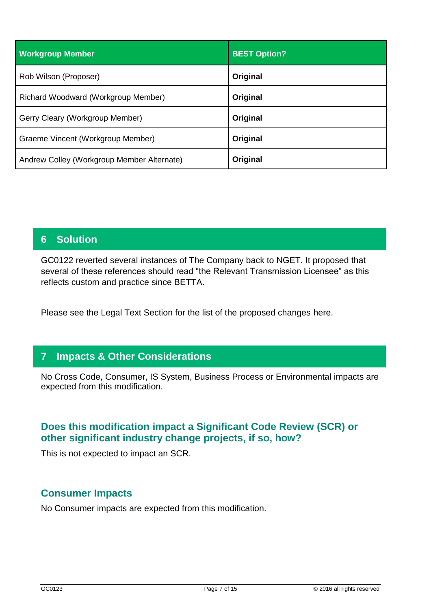| <b>Workgroup Member</b>                    | <b>BEST Option?</b> |
|--------------------------------------------|---------------------|
| Rob Wilson (Proposer)                      | Original            |
| Richard Woodward (Workgroup Member)        | Original            |
| Gerry Cleary (Workgroup Member)            | Original            |
| Graeme Vincent (Workgroup Member)          | Original            |
| Andrew Colley (Workgroup Member Alternate) | Original            |

## **6 Solution**

GC0122 reverted several instances of The Company back to NGET. It proposed that several of these references should read "the Relevant Transmission Licensee" as this reflects custom and practice since BETTA.

Please see the Legal Text Section for the list of the proposed changes here.

## **7 Impacts & Other Considerations**

No Cross Code, Consumer, IS System, Business Process or Environmental impacts are expected from this modification.

## **Does this modification impact a Significant Code Review (SCR) or other significant industry change projects, if so, how?**

This is not expected to impact an SCR.

## **Consumer Impacts**

No Consumer impacts are expected from this modification.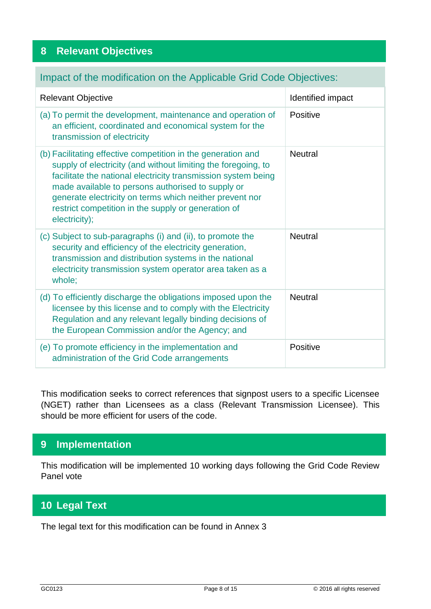## **8 Relevant Objectives**

## Impact of the modification on the Applicable Grid Code Objectives:

| <b>Relevant Objective</b>                                                                                                                                                                                                                                                                                                                                                              | Identified impact |
|----------------------------------------------------------------------------------------------------------------------------------------------------------------------------------------------------------------------------------------------------------------------------------------------------------------------------------------------------------------------------------------|-------------------|
| (a) To permit the development, maintenance and operation of<br>an efficient, coordinated and economical system for the<br>transmission of electricity                                                                                                                                                                                                                                  | Positive          |
| (b) Facilitating effective competition in the generation and<br>supply of electricity (and without limiting the foregoing, to<br>facilitate the national electricity transmission system being<br>made available to persons authorised to supply or<br>generate electricity on terms which neither prevent nor<br>restrict competition in the supply or generation of<br>electricity); | <b>Neutral</b>    |
| (c) Subject to sub-paragraphs (i) and (ii), to promote the<br>security and efficiency of the electricity generation,<br>transmission and distribution systems in the national<br>electricity transmission system operator area taken as a<br>whole;                                                                                                                                    | <b>Neutral</b>    |
| (d) To efficiently discharge the obligations imposed upon the<br>licensee by this license and to comply with the Electricity<br>Regulation and any relevant legally binding decisions of<br>the European Commission and/or the Agency; and                                                                                                                                             | <b>Neutral</b>    |
| (e) To promote efficiency in the implementation and<br>administration of the Grid Code arrangements                                                                                                                                                                                                                                                                                    | Positive          |

This modification seeks to correct references that signpost users to a specific Licensee (NGET) rather than Licensees as a class (Relevant Transmission Licensee). This should be more efficient for users of the code.

## **9 Implementation**

This modification will be implemented 10 working days following the Grid Code Review Panel vote

# **10 Legal Text**

The legal text for this modification can be found in Annex 3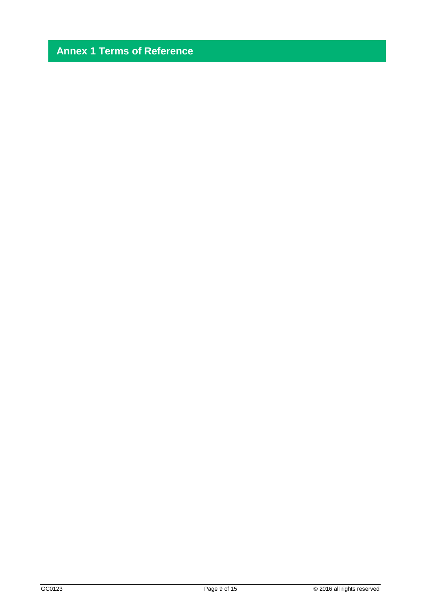# **Annex 1 Terms of Reference**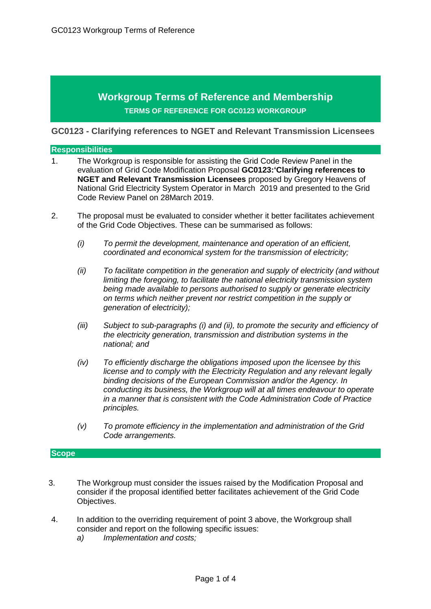## **Workgroup Terms of Reference and Membership TERMS OF REFERENCE FOR GC0123 WORKGROUP**

**GC0123 - Clarifying references to NGET and Relevant Transmission Licensees** 

#### **Responsibilities**

- 1. The Workgroup is responsible for assisting the Grid Code Review Panel in the evaluation of Grid Code Modification Proposal **GC0123:'Clarifying references to NGET and Relevant Transmission Licensees** proposed by Gregory Heavens of National Grid Electricity System Operator in March 2019 and presented to the Grid Code Review Panel on 28March 2019.
- 2. The proposal must be evaluated to consider whether it better facilitates achievement of the Grid Code Objectives. These can be summarised as follows:
	- *(i) To permit the development, maintenance and operation of an efficient, coordinated and economical system for the transmission of electricity;*
	- *(ii) To facilitate competition in the generation and supply of electricity (and without limiting the foregoing, to facilitate the national electricity transmission system being made available to persons authorised to supply or generate electricity on terms which neither prevent nor restrict competition in the supply or generation of electricity);*
	- *(iii) Subject to sub-paragraphs (i) and (ii), to promote the security and efficiency of the electricity generation, transmission and distribution systems in the national; and*
	- *(iv) To efficiently discharge the obligations imposed upon the licensee by this license and to comply with the Electricity Regulation and any relevant legally binding decisions of the European Commission and/or the Agency. In conducting its business, the Workgroup will at all times endeavour to operate in a manner that is consistent with the Code Administration Code of Practice principles.*
	- *(v) To promote efficiency in the implementation and administration of the Grid Code arrangements.*

#### **Scope**

- 3. The Workgroup must consider the issues raised by the Modification Proposal and consider if the proposal identified better facilitates achievement of the Grid Code Objectives.
- 4. In addition to the overriding requirement of point 3 above, the Workgroup shall consider and report on the following specific issues:
	- *a) Implementation and costs;*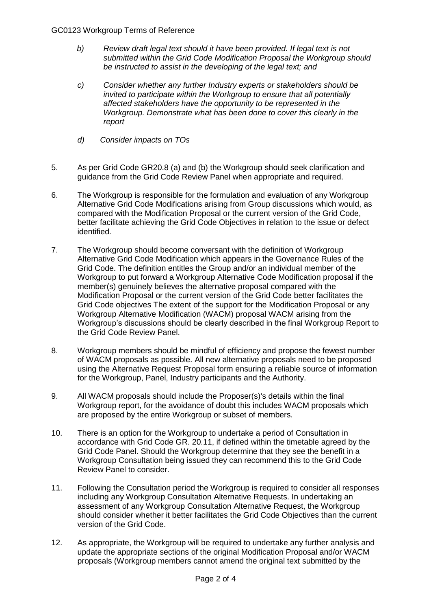#### GC0123 Workgroup Terms of Reference

- *b) Review draft legal text should it have been provided. If legal text is not submitted within the Grid Code Modification Proposal the Workgroup should be instructed to assist in the developing of the legal text; and*
- *c) Consider whether any further Industry experts or stakeholders should be invited to participate within the Workgroup to ensure that all potentially affected stakeholders have the opportunity to be represented in the Workgroup. Demonstrate what has been done to cover this clearly in the report*
- *d) Consider impacts on TOs*
- 5. As per Grid Code GR20.8 (a) and (b) the Workgroup should seek clarification and guidance from the Grid Code Review Panel when appropriate and required.
- 6. The Workgroup is responsible for the formulation and evaluation of any Workgroup Alternative Grid Code Modifications arising from Group discussions which would, as compared with the Modification Proposal or the current version of the Grid Code, better facilitate achieving the Grid Code Objectives in relation to the issue or defect identified.
- 7. The Workgroup should become conversant with the definition of Workgroup Alternative Grid Code Modification which appears in the Governance Rules of the Grid Code. The definition entitles the Group and/or an individual member of the Workgroup to put forward a Workgroup Alternative Code Modification proposal if the member(s) genuinely believes the alternative proposal compared with the Modification Proposal or the current version of the Grid Code better facilitates the Grid Code objectives The extent of the support for the Modification Proposal or any Workgroup Alternative Modification (WACM) proposal WACM arising from the Workgroup's discussions should be clearly described in the final Workgroup Report to the Grid Code Review Panel.
- 8. Workgroup members should be mindful of efficiency and propose the fewest number of WACM proposals as possible. All new alternative proposals need to be proposed using the Alternative Request Proposal form ensuring a reliable source of information for the Workgroup, Panel, Industry participants and the Authority.
- 9. All WACM proposals should include the Proposer(s)'s details within the final Workgroup report, for the avoidance of doubt this includes WACM proposals which are proposed by the entire Workgroup or subset of members.
- 10. There is an option for the Workgroup to undertake a period of Consultation in accordance with Grid Code GR. 20.11, if defined within the timetable agreed by the Grid Code Panel. Should the Workgroup determine that they see the benefit in a Workgroup Consultation being issued they can recommend this to the Grid Code Review Panel to consider.
- 11. Following the Consultation period the Workgroup is required to consider all responses including any Workgroup Consultation Alternative Requests. In undertaking an assessment of any Workgroup Consultation Alternative Request, the Workgroup should consider whether it better facilitates the Grid Code Objectives than the current version of the Grid Code.
- 12. As appropriate, the Workgroup will be required to undertake any further analysis and update the appropriate sections of the original Modification Proposal and/or WACM proposals (Workgroup members cannot amend the original text submitted by the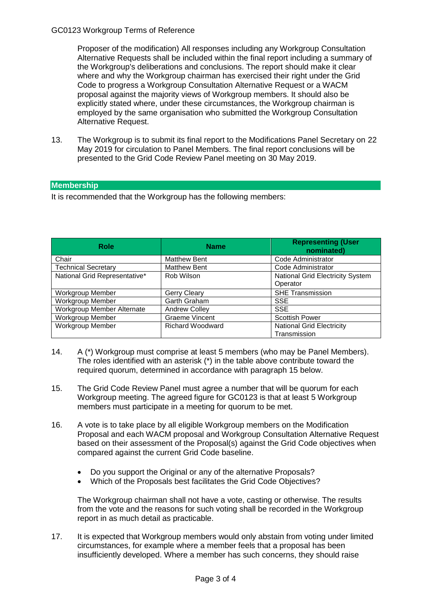#### GC0123 Workgroup Terms of Reference

Proposer of the modification) All responses including any Workgroup Consultation Alternative Requests shall be included within the final report including a summary of the Workgroup's deliberations and conclusions. The report should make it clear where and why the Workgroup chairman has exercised their right under the Grid Code to progress a Workgroup Consultation Alternative Request or a WACM proposal against the majority views of Workgroup members. It should also be explicitly stated where, under these circumstances, the Workgroup chairman is employed by the same organisation who submitted the Workgroup Consultation Alternative Request.

13. The Workgroup is to submit its final report to the Modifications Panel Secretary on 22 May 2019 for circulation to Panel Members. The final report conclusions will be presented to the Grid Code Review Panel meeting on 30 May 2019.

#### **Membership**

It is recommended that the Workgroup has the following members:

| <b>Role</b>                   | <b>Name</b>             | <b>Representing (User</b><br>nominated)             |
|-------------------------------|-------------------------|-----------------------------------------------------|
| Chair                         | <b>Matthew Bent</b>     | Code Administrator                                  |
| <b>Technical Secretary</b>    | <b>Matthew Bent</b>     | Code Administrator                                  |
| National Grid Representative* | Rob Wilson              | <b>National Grid Electricity System</b><br>Operator |
| <b>Workgroup Member</b>       | Gerry Cleary            | <b>SHE Transmission</b>                             |
| Workgroup Member              | Garth Graham            | <b>SSE</b>                                          |
| Workgroup Member Alternate    | <b>Andrew Colley</b>    | <b>SSE</b>                                          |
| Workgroup Member              | <b>Graeme Vincent</b>   | <b>Scottish Power</b>                               |
| Workgroup Member              | <b>Richard Woodward</b> | <b>National Grid Electricity</b><br>Transmission    |

- 14. A (\*) Workgroup must comprise at least 5 members (who may be Panel Members). The roles identified with an asterisk (\*) in the table above contribute toward the required quorum, determined in accordance with paragraph 15 below.
- 15. The Grid Code Review Panel must agree a number that will be quorum for each Workgroup meeting. The agreed figure for GC0123 is that at least 5 Workgroup members must participate in a meeting for quorum to be met.
- 16. A vote is to take place by all eligible Workgroup members on the Modification Proposal and each WACM proposal and Workgroup Consultation Alternative Request based on their assessment of the Proposal(s) against the Grid Code objectives when compared against the current Grid Code baseline.
	- Do you support the Original or any of the alternative Proposals?
	- Which of the Proposals best facilitates the Grid Code Objectives?

The Workgroup chairman shall not have a vote, casting or otherwise. The results from the vote and the reasons for such voting shall be recorded in the Workgroup report in as much detail as practicable.

17. It is expected that Workgroup members would only abstain from voting under limited circumstances, for example where a member feels that a proposal has been insufficiently developed. Where a member has such concerns, they should raise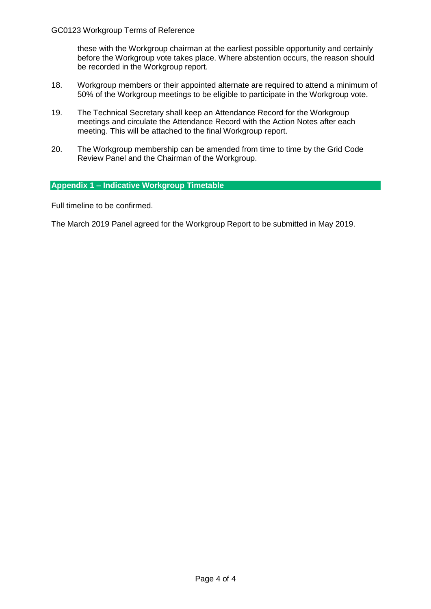these with the Workgroup chairman at the earliest possible opportunity and certainly before the Workgroup vote takes place. Where abstention occurs, the reason should be recorded in the Workgroup report.

- 18. Workgroup members or their appointed alternate are required to attend a minimum of 50% of the Workgroup meetings to be eligible to participate in the Workgroup vote.
- 19. The Technical Secretary shall keep an Attendance Record for the Workgroup meetings and circulate the Attendance Record with the Action Notes after each meeting. This will be attached to the final Workgroup report.
- 20. The Workgroup membership can be amended from time to time by the Grid Code Review Panel and the Chairman of the Workgroup.

#### **Appendix 1 – Indicative Workgroup Timetable**

Full timeline to be confirmed.

The March 2019 Panel agreed for the Workgroup Report to be submitted in May 2019.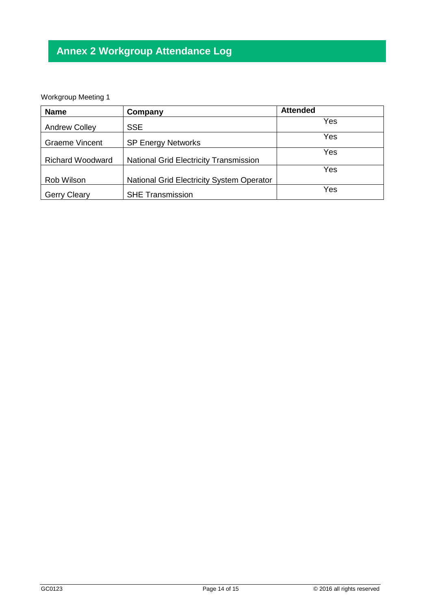# **Annex 2 Workgroup Attendance Log**

## Workgroup Meeting 1

| <b>Name</b>             | Company                                       | <b>Attended</b> |
|-------------------------|-----------------------------------------------|-----------------|
| <b>Andrew Colley</b>    | <b>SSE</b>                                    | Yes             |
| <b>Graeme Vincent</b>   | <b>SP Energy Networks</b>                     | Yes             |
|                         |                                               | Yes             |
| <b>Richard Woodward</b> | <b>National Grid Electricity Transmission</b> |                 |
|                         |                                               | Yes             |
| Rob Wilson              | National Grid Electricity System Operator     |                 |
| <b>Gerry Cleary</b>     | <b>SHE Transmission</b>                       | Yes             |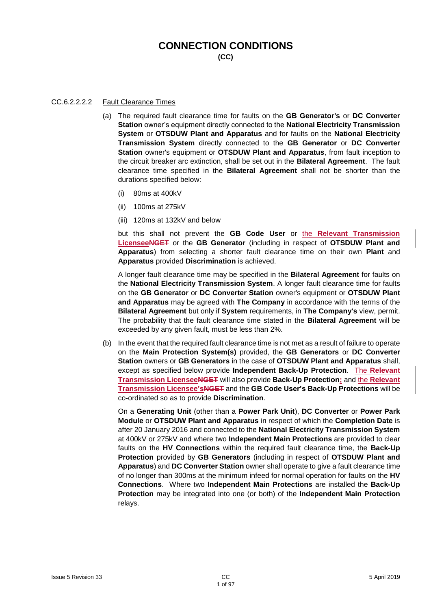## **CONNECTION CONDITIONS**

**(CC)**

#### CC.6.2.2.2.2 Fault Clearance Times

- (a) The required fault clearance time for faults on the **GB Generator's** or **DC Converter Station** owner's equipment directly connected to the **National Electricity Transmission System** or **OTSDUW Plant and Apparatus** and for faults on the **National Electricity Transmission System** directly connected to the **GB Generator** or **DC Converter Station** owner's equipment or **OTSDUW Plant and Apparatus**, from fault inception to the circuit breaker arc extinction, shall be set out in the **Bilateral Agreement**. The fault clearance time specified in the **Bilateral Agreement** shall not be shorter than the durations specified below:
	- (i) 80ms at 400kV
	- (ii) 100ms at 275kV
	- (iii) 120ms at 132kV and below

but this shall not prevent the **GB Code User** or the **Relevant Transmission LicenseeNGET** or the **GB Generator** (including in respect of **OTSDUW Plant and Apparatus**) from selecting a shorter fault clearance time on their own **Plant** and **Apparatus** provided **Discrimination** is achieved.

A longer fault clearance time may be specified in the **Bilateral Agreement** for faults on the **National Electricity Transmission System**. A longer fault clearance time for faults on the **GB Generator** or **DC Converter Station** owner's equipment or **OTSDUW Plant and Apparatus** may be agreed with **The Company** in accordance with the terms of the **Bilateral Agreement** but only if **System** requirements, in **The Company's** view, permit. The probability that the fault clearance time stated in the **Bilateral Agreement** will be exceeded by any given fault, must be less than 2%.

(b) In the event that the required fault clearance time is not met as a result of failure to operate on the **Main Protection System(s)** provided, the **GB Generators** or **DC Converter Station** owners or **GB Generators** in the case of **OTSDUW Plant and Apparatus** shall, except as specified below provide **Independent Back-Up Protection**. The **Relevant Transmission LicenseeNGET** will also provide **Back-Up Protection;** and the **Relevant Transmission Licensee'sNGET** and the **GB Code User's Back-Up Protections** will be co-ordinated so as to provide **Discrimination**.

On a **Generating Unit** (other than a **Power Park Unit**), **DC Converter** or **Power Park Module** or **OTSDUW Plant and Apparatus** in respect of which the **Completion Date** is after 20 January 2016 and connected to the **National Electricity Transmission System** at 400kV or 275kV and where two **Independent Main Protections** are provided to clear faults on the **HV Connections** within the required fault clearance time, the **Back-Up Protection** provided by **GB Generators** (including in respect of **OTSDUW Plant and Apparatus**) and **DC Converter Station** owner shall operate to give a fault clearance time of no longer than 300ms at the minimum infeed for normal operation for faults on the **HV Connections**. Where two **Independent Main Protections** are installed the **Back-Up Protection** may be integrated into one (or both) of the **Independent Main Protection** relays.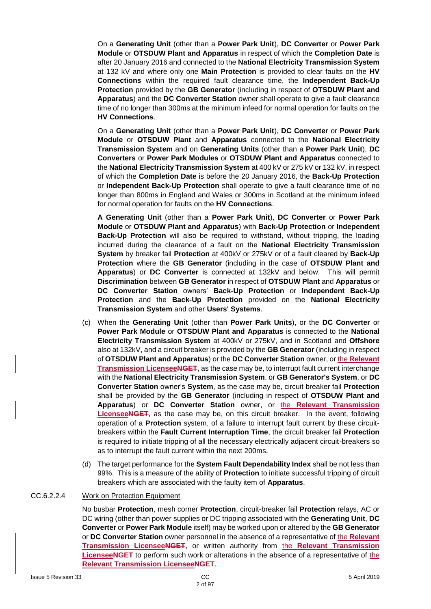On a **Generating Unit** (other than a **Power Park Unit**), **DC Converter** or **Power Park Module** or **OTSDUW Plant and Apparatus** in respect of which the **Completion Date** is after 20 January 2016 and connected to the **National Electricity Transmission System** at 132 kV and where only one **Main Protection** is provided to clear faults on the **HV Connections** within the required fault clearance time, the **Independent Back-Up Protection** provided by the **GB Generator** (including in respect of **OTSDUW Plant and Apparatus**) and the **DC Converter Station** owner shall operate to give a fault clearance time of no longer than 300ms at the minimum infeed for normal operation for faults on the **HV Connections**.

On a **Generating Unit** (other than a **Power Park Unit**), **DC Converter** or **Power Park Module** or **OTSDUW Plant** and **Apparatus** connected to the **National Electricity Transmission System** and on **Generating Units** (other than a **Power Park Unit**), **DC Converters** or **Power Park Modules** or **OTSDUW Plant and Apparatus** connected to the **National Electricity Transmission System** at 400 kV or 275 kV or 132 kV, in respect of which the **Completion Date** is before the 20 January 2016, the **Back-Up Protection** or **Independent Back-Up Protection** shall operate to give a fault clearance time of no longer than 800ms in England and Wales or 300ms in Scotland at the minimum infeed for normal operation for faults on the **HV Connections**.

**A Generating Unit** (other than a **Power Park Unit**), **DC Converter** or **Power Park Module** or **OTSDUW Plant and Apparatus**) with **Back-Up Protection** or **Independent Back-Up Protection** will also be required to withstand, without tripping, the loading incurred during the clearance of a fault on the **National Electricity Transmission System** by breaker fail **Protection** at 400kV or 275kV or of a fault cleared by **Back-Up Protection** where the **GB Generator** (including in the case of **OTSDUW Plant and Apparatus**) or **DC Converter** is connected at 132kV and below. This will permit **Discrimination** between **GB Generator** in respect of **OTSDUW Plant** and **Apparatus** or **DC Converter Station** owners' **Back-Up Protection** or **Independent Back-Up Protection** and the **Back-Up Protection** provided on the **National Electricity Transmission System** and other **Users' Systems**.

- (c) When the **Generating Unit** (other than **Power Park Units**), or the **DC Converter** or **Power Park Module** or **OTSDUW Plant and Apparatus** is connected to the **National Electricity Transmission System** at 400kV or 275kV, and in Scotland and **Offshore** also at 132kV, and a circuit breaker is provided by the **GB Generator** (including in respect of **OTSDUW Plant and Apparatus**) or the **DC Converter Station** owner, or the **Relevant Transmission LicenseeNGET**, as the case may be, to interrupt fault current interchange with the **National Electricity Transmission System**, or **GB Generator's System**, or **DC Converter Station** owner's **System**, as the case may be, circuit breaker fail **Protection** shall be provided by the **GB Generator** (including in respect of **OTSDUW Plant and Apparatus**) or **DC Converter Station** owner, or the **Relevant Transmission LicenseeNGET**, as the case may be, on this circuit breaker. In the event, following operation of a **Protection** system, of a failure to interrupt fault current by these circuitbreakers within the **Fault Current Interruption Time**, the circuit breaker fail **Protection** is required to initiate tripping of all the necessary electrically adjacent circuit-breakers so as to interrupt the fault current within the next 200ms.
- (d) The target performance for the **System Fault Dependability Index** shall be not less than 99%. This is a measure of the ability of **Protection** to initiate successful tripping of circuit breakers which are associated with the faulty item of **Apparatus**.

#### CC.6.2.2.4 Work on Protection Equipment

No busbar **Protection**, mesh corner **Protection**, circuit-breaker fail **Protection** relays, AC or DC wiring (other than power supplies or DC tripping associated with the **Generating Unit**, **DC Converter** or **Power Park Module** itself) may be worked upon or altered by the **GB Generator** or **DC Converter Station** owner personnel in the absence of a representative of the **Relevant Transmission LicenseeNGET**, or written authority from the **Relevant Transmission LicenseeNGET** to perform such work or alterations in the absence of a representative of the **Relevant Transmission LicenseeNGET**.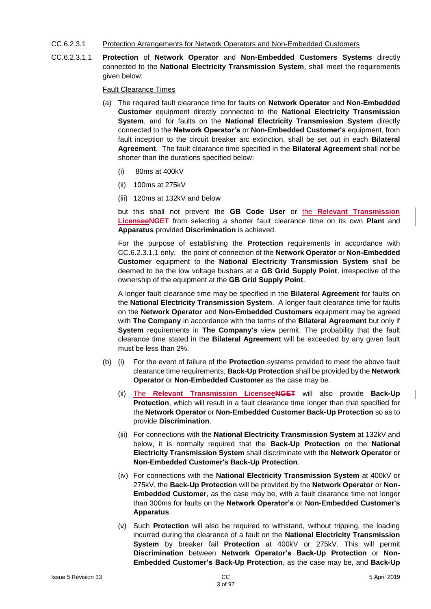- CC.6.2.3.1 Protection Arrangements for Network Operators and Non-Embedded Customers
- CC.6.2.3.1.1 **Protection** of **Network Operator** and **Non-Embedded Customers Systems** directly connected to the **National Electricity Transmission System**, shall meet the requirements given below:

Fault Clearance Times

- (a) The required fault clearance time for faults on **Network Operator** and **Non-Embedded Customer** equipment directly connected to the **National Electricity Transmission System**, and for faults on the **National Electricity Transmission System** directly connected to the **Network Operator's** or **Non-Embedded Customer's** equipment, from fault inception to the circuit breaker arc extinction, shall be set out in each **Bilateral Agreement**. The fault clearance time specified in the **Bilateral Agreement** shall not be shorter than the durations specified below:
	- (i) 80ms at 400kV
	- (ii) 100ms at 275kV
	- (iii) 120ms at 132kV and below

but this shall not prevent the **GB Code User** or the **Relevant Transmission LicenseeNGET** from selecting a shorter fault clearance time on its own **Plant** and **Apparatus** provided **Discrimination** is achieved.

For the purpose of establishing the **Protection** requirements in accordance with CC.6.2.3.1.1 only, the point of connection of the **Network Operator** or **Non-Embedded Customer** equipment to the **National Electricity Transmission System** shall be deemed to be the low voltage busbars at a **GB Grid Supply Point**, irrespective of the ownership of the equipment at the **GB Grid Supply Point**.

A longer fault clearance time may be specified in the **Bilateral Agreement** for faults on the **National Electricity Transmission System**. A longer fault clearance time for faults on the **Network Operator** and **Non-Embedded Customers** equipment may be agreed with **The Company** in accordance with the terms of the **Bilateral Agreement** but only if **System** requirements in **The Company's** view permit. The probability that the fault clearance time stated in the **Bilateral Agreement** will be exceeded by any given fault must be less than 2%.

- (b) (i) For the event of failure of the **Protection** systems provided to meet the above fault clearance time requirements, **Back-Up Protection** shall be provided by the **Network Operator** or **Non-Embedded Customer** as the case may be.
	- (ii) The **Relevant Transmission LicenseeNGET** will also provide **Back-Up Protection**, which will result in a fault clearance time longer than that specified for the **Network Operator** or **Non-Embedded Customer Back-Up Protection** so as to provide **Discrimination**.
	- (iii) For connections with the **National Electricity Transmission System** at 132kV and below, it is normally required that the **Back-Up Protection** on the **National Electricity Transmission System** shall discriminate with the **Network Operator** or **Non-Embedded Customer's Back-Up Protection**.
	- (iv) For connections with the **National Electricity Transmission System** at 400kV or 275kV, the **Back-Up Protection** will be provided by the **Network Operator** or **Non-Embedded Customer**, as the case may be, with a fault clearance time not longer than 300ms for faults on the **Network Operator's** or **Non-Embedded Customer's Apparatus**.
	- (v) Such **Protection** will also be required to withstand, without tripping, the loading incurred during the clearance of a fault on the **National Electricity Transmission System** by breaker fail **Protection** at 400kV or 275kV. This will permit **Discrimination** between **Network Operator's Back-Up Protection** or **Non-Embedded Customer's Back-Up Protection**, as the case may be, and **Back-Up**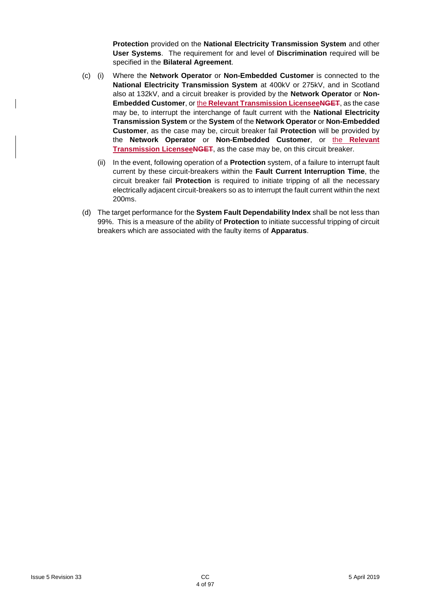**Protection** provided on the **National Electricity Transmission System** and other **User Systems**. The requirement for and level of **Discrimination** required will be specified in the **Bilateral Agreement**.

- (c) (i) Where the **Network Operator** or **Non-Embedded Customer** is connected to the **National Electricity Transmission System** at 400kV or 275kV, and in Scotland also at 132kV, and a circuit breaker is provided by the **Network Operator** or **Non-Embedded Customer**, or the **Relevant Transmission LicenseeNGET**, as the case may be, to interrupt the interchange of fault current with the **National Electricity Transmission System** or the **System** of the **Network Operator** or **Non-Embedded Customer**, as the case may be, circuit breaker fail **Protection** will be provided by the **Network Operator** or **Non-Embedded Customer**, or the **Relevant Transmission LicenseeNGET**, as the case may be, on this circuit breaker.
	- (ii) In the event, following operation of a **Protection** system, of a failure to interrupt fault current by these circuit-breakers within the **Fault Current Interruption Time**, the circuit breaker fail **Protection** is required to initiate tripping of all the necessary electrically adjacent circuit-breakers so as to interrupt the fault current within the next 200ms.
- (d) The target performance for the **System Fault Dependability Index** shall be not less than 99%. This is a measure of the ability of **Protection** to initiate successful tripping of circuit breakers which are associated with the faulty items of **Apparatus**.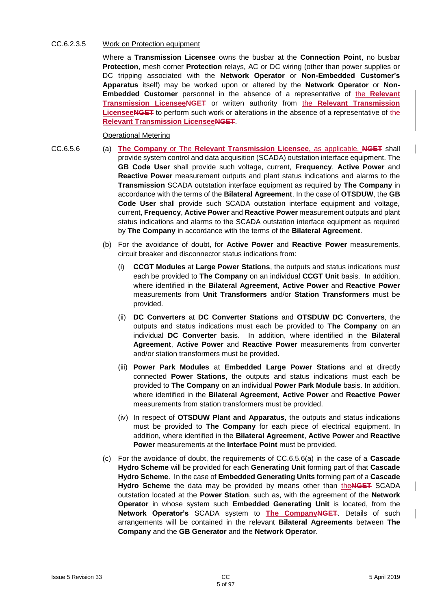#### CC.6.2.3.5 Work on Protection equipment

Where a **Transmission Licensee** owns the busbar at the **Connection Point**, no busbar **Protection**, mesh corner **Protection** relays, AC or DC wiring (other than power supplies or DC tripping associated with the **Network Operator** or **Non-Embedded Customer's Apparatus** itself) may be worked upon or altered by the **Network Operator** or **Non-Embedded Customer** personnel in the absence of a representative of the **Relevant Transmission LicenseeNGET** or written authority from the **Relevant Transmission LicenseeNGET** to perform such work or alterations in the absence of a representative of the **Relevant Transmission LicenseeNGET**.

#### Operational Metering

- CC.6.5.6 (a) **The Company** or The **Relevant Transmission Licensee,** as applicable, **NGET** shall provide system control and data acquisition (SCADA) outstation interface equipment. The **GB Code User** shall provide such voltage, current, **Frequency**, **Active Power** and **Reactive Power** measurement outputs and plant status indications and alarms to the **Transmission** SCADA outstation interface equipment as required by **The Company** in accordance with the terms of the **Bilateral Agreement**. In the case of **OTSDUW**, the **GB Code User** shall provide such SCADA outstation interface equipment and voltage, current, **Frequency**, **Active Power** and **Reactive Power** measurement outputs and plant status indications and alarms to the SCADA outstation interface equipment as required by **The Company** in accordance with the terms of the **Bilateral Agreement**.
	- (b) For the avoidance of doubt, for **Active Power** and **Reactive Power** measurements, circuit breaker and disconnector status indications from:
		- (i) **CCGT Modules** at **Large Power Stations**, the outputs and status indications must each be provided to **The Company** on an individual **CCGT Unit** basis. In addition, where identified in the **Bilateral Agreement**, **Active Power** and **Reactive Power** measurements from **Unit Transformers** and/or **Station Transformers** must be provided.
		- (ii) **DC Converters** at **DC Converter Stations** and **OTSDUW DC Converters**, the outputs and status indications must each be provided to **The Company** on an individual **DC Converter** basis. In addition, where identified in the **Bilateral Agreement**, **Active Power** and **Reactive Power** measurements from converter and/or station transformers must be provided.
		- (iii) **Power Park Modules** at **Embedded Large Power Stations** and at directly connected **Power Stations**, the outputs and status indications must each be provided to **The Company** on an individual **Power Park Module** basis. In addition, where identified in the **Bilateral Agreement**, **Active Power** and **Reactive Power** measurements from station transformers must be provided.
		- (iv) In respect of **OTSDUW Plant and Apparatus**, the outputs and status indications must be provided to **The Company** for each piece of electrical equipment. In addition, where identified in the **Bilateral Agreement**, **Active Power** and **Reactive Power** measurements at the **Interface Point** must be provided.
	- (c) For the avoidance of doubt, the requirements of CC.6.5.6(a) in the case of a **Cascade Hydro Scheme** will be provided for each **Generating Unit** forming part of that **Cascade Hydro Scheme**. In the case of **Embedded Generating Units** forming part of a **Cascade**  Hydro Scheme the data may be provided by means other than the NGET SCADA outstation located at the **Power Station**, such as, with the agreement of the **Network Operator** in whose system such **Embedded Generating Unit** is located, from the **Network Operator's** SCADA system to **The CompanyNGET**. Details of such arrangements will be contained in the relevant **Bilateral Agreements** between **The Company** and the **GB Generator** and the **Network Operator**.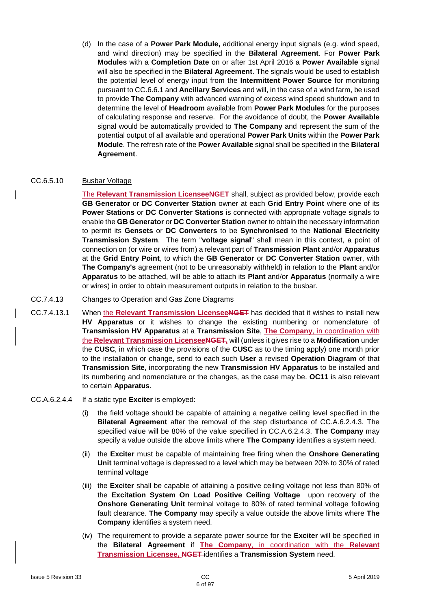(d) In the case of a **Power Park Module,** additional energy input signals (e.g. wind speed, and wind direction) may be specified in the **Bilateral Agreement**. For **Power Park Modules** with a **Completion Date** on or after 1st April 2016 a **Power Available** signal will also be specified in the **Bilateral Agreement**. The signals would be used to establish the potential level of energy input from the **Intermittent Power Source** for monitoring pursuant to CC.6.6.1 and **Ancillary Services** and will, in the case of a wind farm, be used to provide **The Company** with advanced warning of excess wind speed shutdown and to determine the level of **Headroom** available from **Power Park Modules** for the purposes of calculating response and reserve. For the avoidance of doubt, the **Power Available** signal would be automatically provided to **The Company** and represent the sum of the potential output of all available and operational **Power Park Units** within the **Power Park Module**. The refresh rate of the **Power Available** signal shall be specified in the **Bilateral Agreement**.

#### CC.6.5.10 Busbar Voltage

The **Relevant Transmission LicenseeNGET** shall, subject as provided below, provide each **GB Generator** or **DC Converter Station** owner at each **Grid Entry Point** where one of its **Power Stations** or **DC Converter Stations** is connected with appropriate voltage signals to enable the **GB Generator** or **DC Converter Station** owner to obtain the necessary information to permit its **Gensets** or **DC Converters** to be **Synchronised** to the **National Electricity Transmission System**. The term "**voltage signal**" shall mean in this context, a point of connection on (or wire or wires from) a relevant part of **Transmission Plant** and/or **Apparatus** at the **Grid Entry Point**, to which the **GB Generator** or **DC Converter Station** owner, with **The Company's** agreement (not to be unreasonably withheld) in relation to the **Plant** and/or **Apparatus** to be attached, will be able to attach its **Plant** and/or **Apparatus** (normally a wire or wires) in order to obtain measurement outputs in relation to the busbar.

#### CC.7.4.13 Changes to Operation and Gas Zone Diagrams

- CC.7.4.13.1 When the **Relevant Transmission LicenseeNGET** has decided that it wishes to install new **HV Apparatus** or it wishes to change the existing numbering or nomenclature of **Transmission HV Apparatus** at a **Transmission Site**, **The Company**, in coordination with the **Relevant Transmission LicenseeNGET,** will (unless it gives rise to a **Modification** under the **CUSC**, in which case the provisions of the **CUSC** as to the timing apply) one month prior to the installation or change, send to each such **User** a revised **Operation Diagram** of that **Transmission Site**, incorporating the new **Transmission HV Apparatus** to be installed and its numbering and nomenclature or the changes, as the case may be. **OC11** is also relevant to certain **Apparatus**.
- CC.A.6.2.4.4 If a static type **Exciter** is employed:
	- (i) the field voltage should be capable of attaining a negative ceiling level specified in the **Bilateral Agreement** after the removal of the step disturbance of CC.A.6.2.4.3. The specified value will be 80% of the value specified in CC.A.6.2.4.3. **The Company** may specify a value outside the above limits where **The Company** identifies a system need.
	- (ii) the **Exciter** must be capable of maintaining free firing when the **Onshore Generating Unit** terminal voltage is depressed to a level which may be between 20% to 30% of rated terminal voltage
	- (iii) the **Exciter** shall be capable of attaining a positive ceiling voltage not less than 80% of the **Excitation System On Load Positive Ceiling Voltage** upon recovery of the **Onshore Generating Unit** terminal voltage to 80% of rated terminal voltage following fault clearance. **The Company** may specify a value outside the above limits where **The Company** identifies a system need.
	- (iv) The requirement to provide a separate power source for the **Exciter** will be specified in the **Bilateral Agreement** if **The Company**, in coordination with the **Relevant Transmission Licensee, NGET** identifies a **Transmission System** need.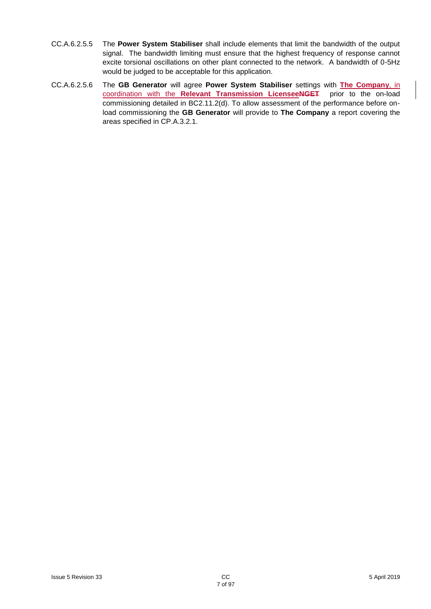- CC.A.6.2.5.5 The **Power System Stabiliser** shall include elements that limit the bandwidth of the output signal. The bandwidth limiting must ensure that the highest frequency of response cannot excite torsional oscillations on other plant connected to the network. A bandwidth of 0-5Hz would be judged to be acceptable for this application.
- CC.A.6.2.5.6 The **GB Generator** will agree **Power System Stabiliser** settings with **The Company**, in coordination with the **Relevant Transmission LicenseeNGET** prior to the on-load commissioning detailed in BC2.11.2(d). To allow assessment of the performance before onload commissioning the **GB Generator** will provide to **The Company** a report covering the areas specified in CP.A.3.2.1.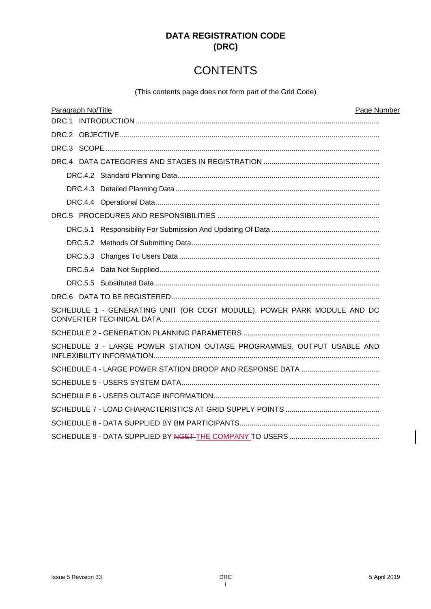## **DATA REGISTRATION CODE**  $(DRC)$

# **CONTENTS**

(This contents page does not form part of the Grid Code)

| Page Number<br>Paragraph No/Title                                       |  |
|-------------------------------------------------------------------------|--|
|                                                                         |  |
|                                                                         |  |
|                                                                         |  |
|                                                                         |  |
|                                                                         |  |
|                                                                         |  |
|                                                                         |  |
|                                                                         |  |
|                                                                         |  |
|                                                                         |  |
|                                                                         |  |
|                                                                         |  |
|                                                                         |  |
|                                                                         |  |
| SCHEDULE 1 - GENERATING UNIT (OR CCGT MODULE), POWER PARK MODULE AND DC |  |
|                                                                         |  |
| SCHEDULE 3 - LARGE POWER STATION OUTAGE PROGRAMMES, OUTPUT USABLE AND   |  |
|                                                                         |  |
|                                                                         |  |
|                                                                         |  |
|                                                                         |  |
|                                                                         |  |
|                                                                         |  |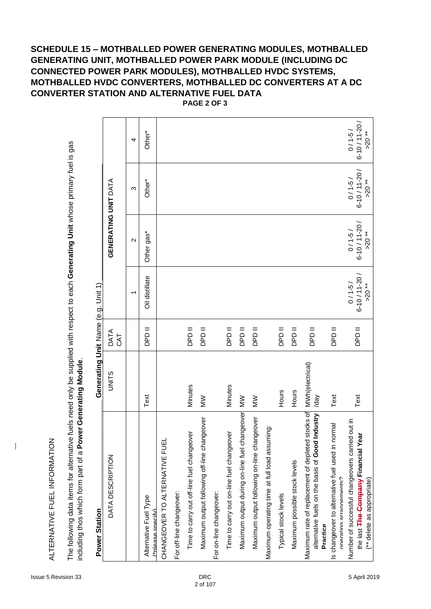## **SCHEDULE 15 – MOTHBALLED POWER GENERATING MODULES, MOTHBALLED GENERATING UNIT, MOTHBALLED POWER PARK MODULE (INCLUDING DC CONNECTED POWER PARK MODULES), MOTHBALLED HVDC SYSTEMS, MOTHBALLED HVDC CONVERTERS, MOTHBALLED DC CONVERTERS AT A DC CONVERTER STATION AND ALTERNATIVE FUEL DATA**

| including thos which form part of a Power Generating Module                                                          |                                    |               |                                             |                                             |                                             |                                              |
|----------------------------------------------------------------------------------------------------------------------|------------------------------------|---------------|---------------------------------------------|---------------------------------------------|---------------------------------------------|----------------------------------------------|
| Power Station                                                                                                        | Generating Unit Name (e.g. Unit 1) |               |                                             |                                             |                                             |                                              |
| DATA DESCRIPTION                                                                                                     | UNITS                              | DATA<br>CAT   |                                             | GENERATING UNIT DATA                        |                                             |                                              |
|                                                                                                                      |                                    |               |                                             | $\mathbf{\Omega}$                           | က                                           | 4                                            |
| Alternative Fuel Type<br>(*nlease specify)                                                                           | Text                               | <b>II GdC</b> | Oil distillate                              | Other gas*                                  | Other*                                      | Other*                                       |
| CHANGEOVER TO ALTERNATIVE FUEL                                                                                       |                                    |               |                                             |                                             |                                             |                                              |
| For off-line changeover:                                                                                             |                                    |               |                                             |                                             |                                             |                                              |
| Time to carry out off-line fuel changeover                                                                           | Minutes                            | II GdC        |                                             |                                             |                                             |                                              |
| Maximum output following off-line changeover                                                                         | $\geq$                             | II GdC        |                                             |                                             |                                             |                                              |
| For on-line changeover:                                                                                              |                                    |               |                                             |                                             |                                             |                                              |
| Time to carry out on-line fuel changeover                                                                            | Minutes                            | II GdC        |                                             |                                             |                                             |                                              |
| Maximum output during on-line fuel changeover                                                                        | $\sum_{i=1}^{n}$                   | II GdC        |                                             |                                             |                                             |                                              |
| Maximum output following on-line changeover                                                                          | $\geq$                             | II GdC        |                                             |                                             |                                             |                                              |
| Maximum operating time at full load assuming:                                                                        |                                    |               |                                             |                                             |                                             |                                              |
| Typical stock levels                                                                                                 | Hours                              | II GdC        |                                             |                                             |                                             |                                              |
| Maximum possible stock levels                                                                                        | Hours                              | II GdC        |                                             |                                             |                                             |                                              |
| Maximum rate of replacement of depleted stocks of<br>alternative fuels on the basis of Good Industry<br>Practice     | MWh(electrical)<br>/day            | II GdC        |                                             |                                             |                                             |                                              |
| normal<br>Is changeover to alternative fuel used in<br>Operation arrangements?                                       | Text                               | II GdC        |                                             |                                             |                                             |                                              |
| Number of successful changeovers carried out in<br>the last The Company Financial Year<br>(** delete as appropriate) | Text                               | II ddd        | $6 - 10 / 11 - 20 /$<br>$0/1-5/$<br>$>20**$ | $6 - 10 / 11 - 20 /$<br>$0/1-5/$<br>$>20**$ | $6 - 10 / 11 - 20 /$<br>$0/1-5/$<br>$>20**$ | $6 - 10 / 11 - 20 /$<br>$0/1-5/$<br>$>20$ ** |

**PAGE 2 OF 3**

 $\overline{\phantom{a}}$ 

The following data items for alternative fuels need only be supplied with respect to each **Generating Unit** whose primary fuel is gas

The following data items for alternative fuels need only be supplied with respect to each Generating Unit whose primary fuel is gas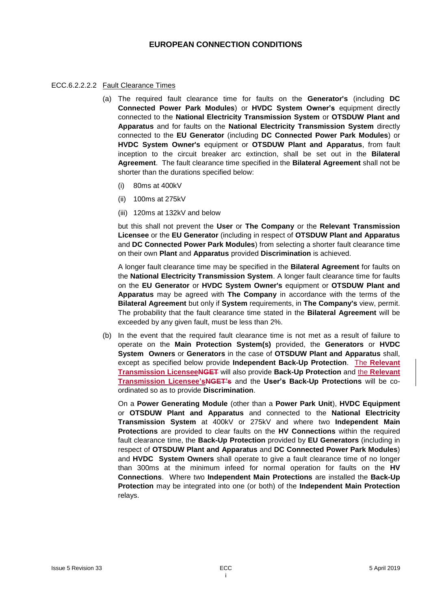#### **EUROPEAN CONNECTION CONDITIONS**

#### ECC.6.2.2.2.2 Fault Clearance Times

- (a) The required fault clearance time for faults on the **Generator's** (including **DC Connected Power Park Modules**) or **HVDC System Owner's** equipment directly connected to the **National Electricity Transmission System** or **OTSDUW Plant and Apparatus** and for faults on the **National Electricity Transmission System** directly connected to the **EU Generator** (including **DC Connected Power Park Modules**) or **HVDC System Owner's** equipment or **OTSDUW Plant and Apparatus**, from fault inception to the circuit breaker arc extinction, shall be set out in the **Bilateral Agreement**. The fault clearance time specified in the **Bilateral Agreement** shall not be shorter than the durations specified below:
	- (i) 80ms at 400kV
	- (ii) 100ms at 275kV
	- (iii) 120ms at 132kV and below

but this shall not prevent the **User** or **The Company** or the **Relevant Transmission Licensee** or the **EU Generator** (including in respect of **OTSDUW Plant and Apparatus** and **DC Connected Power Park Modules**) from selecting a shorter fault clearance time on their own **Plant** and **Apparatus** provided **Discrimination** is achieved.

A longer fault clearance time may be specified in the **Bilateral Agreement** for faults on the **National Electricity Transmission System**. A longer fault clearance time for faults on the **EU Generator** or **HVDC System Owner's** equipment or **OTSDUW Plant and Apparatus** may be agreed with **The Company** in accordance with the terms of the **Bilateral Agreement** but only if **System** requirements, in **The Company's** view, permit. The probability that the fault clearance time stated in the **Bilateral Agreement** will be exceeded by any given fault, must be less than 2%.

(b) In the event that the required fault clearance time is not met as a result of failure to operate on the **Main Protection System(s)** provided, the **Generators** or **HVDC System Owners** or **Generators** in the case of **OTSDUW Plant and Apparatus** shall, except as specified below provide **Independent Back-Up Protection**. The **Relevant Transmission LicenseeNGET** will also provide **Back-Up Protection** and the **Relevant Transmission Licensee'sNGET's** and the **User's Back-Up Protections** will be coordinated so as to provide **Discrimination**.

On a **Power Generating Module** (other than a **Power Park Unit**), **HVDC Equipment** or **OTSDUW Plant and Apparatus** and connected to the **National Electricity Transmission System** at 400kV or 275kV and where two **Independent Main Protections** are provided to clear faults on the **HV Connections** within the required fault clearance time, the **Back-Up Protection** provided by **EU Generators** (including in respect of **OTSDUW Plant and Apparatus** and **DC Connected Power Park Modules**) and **HVDC System Owners** shall operate to give a fault clearance time of no longer than 300ms at the minimum infeed for normal operation for faults on the **HV Connections**. Where two **Independent Main Protections** are installed the **Back-Up Protection** may be integrated into one (or both) of the **Independent Main Protection** relays.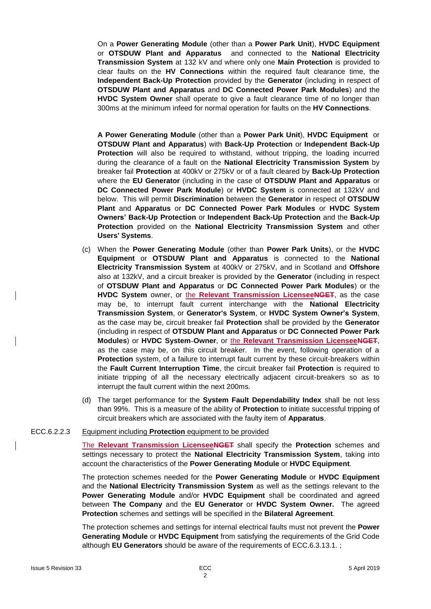On a **Power Generating Module** (other than a **Power Park Unit**), **HVDC Equipment** or **OTSDUW Plant and Apparatus** and connected to the **National Electricity Transmission System** at 132 kV and where only one **Main Protection** is provided to clear faults on the **HV Connections** within the required fault clearance time, the **Independent Back-Up Protection** provided by the **Generator** (including in respect of **OTSDUW Plant and Apparatus** and **DC Connected Power Park Modules**) and the **HVDC System Owner** shall operate to give a fault clearance time of no longer than 300ms at the minimum infeed for normal operation for faults on the **HV Connections**.

**A Power Generating Module** (other than a **Power Park Unit**), **HVDC Equipment** or **OTSDUW Plant and Apparatus**) with **Back-Up Protection** or **Independent Back-Up Protection** will also be required to withstand, without tripping, the loading incurred during the clearance of a fault on the **National Electricity Transmission System** by breaker fail **Protection** at 400kV or 275kV or of a fault cleared by **Back-Up Protection** where the **EU Generator** (including in the case of **OTSDUW Plant and Apparatus** or **DC Connected Power Park Module**) or **HVDC System** is connected at 132kV and below. This will permit **Discrimination** between the **Generator** in respect of **OTSDUW Plant** and **Apparatus** or **DC Connected Power Park Modules** or **HVDC System Owners' Back-Up Protection** or **Independent Back-Up Protection** and the **Back-Up Protection** provided on the **National Electricity Transmission System** and other **Users' Systems**.

- (c) When the **Power Generating Module** (other than **Power Park Units**), or the **HVDC Equipment** or **OTSDUW Plant and Apparatus** is connected to the **National Electricity Transmission System** at 400kV or 275kV, and in Scotland and **Offshore** also at 132kV, and a circuit breaker is provided by the **Generator** (including in respect of **OTSDUW Plant and Apparatus** or **DC Connected Power Park Modules**) or the **HVDC System** owner, or the **Relevant Transmission LicenseeNGET**, as the case may be, to interrupt fault current interchange with the **National Electricity Transmission System**, or **Generator's System**, or **HVDC System Owner's System**, as the case may be, circuit breaker fail **Protection** shall be provided by the **Generator** (including in respect of **OTSDUW Plant and Apparatus** or **DC Connected Power Park Modules**) or **HVDC System Owner**, or the **Relevant Transmission LicenseeNGET**, as the case may be, on this circuit breaker. In the event, following operation of a **Protection** system, of a failure to interrupt fault current by these circuit-breakers within the **Fault Current Interruption Time**, the circuit breaker fail **Protection** is required to initiate tripping of all the necessary electrically adjacent circuit-breakers so as to interrupt the fault current within the next 200ms.
- (d) The target performance for the **System Fault Dependability Index** shall be not less than 99%. This is a measure of the ability of **Protection** to initiate successful tripping of circuit breakers which are associated with the faulty item of **Apparatus**.

#### ECC.6.2.2.3 Equipment including **Protection** equipment to be provided

The **Relevant Transmission LicenseeNGET** shall specify the **Protection** schemes and settings necessary to protect the **National Electricity Transmission System**, taking into account the characteristics of the **Power Generating Module** or **HVDC Equipment**.

The protection schemes needed for the **Power Generating Module** or **HVDC Equipment** and the **National Electricity Transmission System** as well as the settings relevant to the **Power Generating Module** and/or **HVDC Equipment** shall be coordinated and agreed between **The Company** and the **EU Generator** or **HVDC System Owner.** The agreed **Protection** schemes and settings will be specified in the **Bilateral Agreement**.

The protection schemes and settings for internal electrical faults must not prevent the **Power Generating Module** or **HVDC Equipment** from satisfying the requirements of the Grid Code although **EU Generators** should be aware of the requirements of ECC.6.3.13.1. ;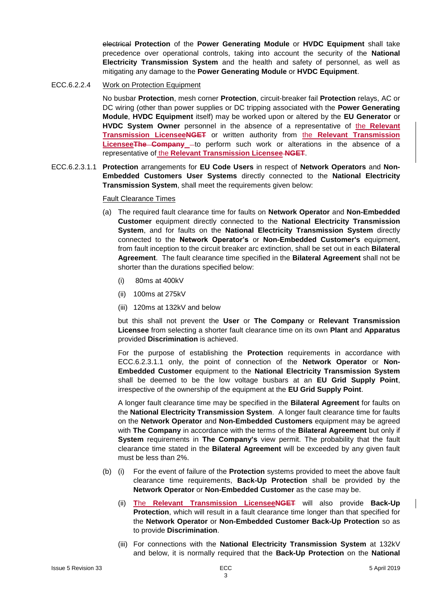electrical **Protection** of the **Power Generating Module** or **HVDC Equipment** shall take precedence over operational controls, taking into account the security of the **National Electricity Transmission System** and the health and safety of personnel, as well as mitigating any damage to the **Power Generating Module** or **HVDC Equipment**.

ECC.6.2.2.4 Work on Protection Equipment

No busbar **Protection**, mesh corner **Protection**, circuit-breaker fail **Protection** relays, AC or DC wiring (other than power supplies or DC tripping associated with the **Power Generating Module**, **HVDC Equipment** itself) may be worked upon or altered by the **EU Generator** or **HVDC System Owner** personnel in the absence of a representative of the **Relevant Transmission LicenseeNGET** or written authority from the **Relevant Transmission LicenseeThe Company** - to perform such work or alterations in the absence of a representative of the **Relevant Transmission Licensee NGET**.

ECC.6.2.3.1.1 **Protection** arrangements for **EU Code Users** in respect of **Network Operators** and **Non-Embedded Customers User Systems** directly connected to the **National Electricity Transmission System**, shall meet the requirements given below:

#### Fault Clearance Times

- (a) The required fault clearance time for faults on **Network Operator** and **Non-Embedded Customer** equipment directly connected to the **National Electricity Transmission System**, and for faults on the **National Electricity Transmission System** directly connected to the **Network Operator's** or **Non-Embedded Customer's** equipment, from fault inception to the circuit breaker arc extinction, shall be set out in each **Bilateral Agreement**. The fault clearance time specified in the **Bilateral Agreement** shall not be shorter than the durations specified below:
	- (i) 80ms at 400kV
	- (ii) 100ms at 275kV
	- (iii) 120ms at 132kV and below

but this shall not prevent the **User** or **The Company** or **Relevant Transmission Licensee** from selecting a shorter fault clearance time on its own **Plant** and **Apparatus**  provided **Discrimination** is achieved.

For the purpose of establishing the **Protection** requirements in accordance with ECC.6.2.3.1.1 only, the point of connection of the **Network Operator** or **Non-Embedded Customer** equipment to the **National Electricity Transmission System** shall be deemed to be the low voltage busbars at an **EU Grid Supply Point**, irrespective of the ownership of the equipment at the **EU Grid Supply Point**.

A longer fault clearance time may be specified in the **Bilateral Agreement** for faults on the **National Electricity Transmission System**. A longer fault clearance time for faults on the **Network Operator** and **Non-Embedded Customers** equipment may be agreed with **The Company** in accordance with the terms of the **Bilateral Agreement** but only if **System** requirements in **The Company's** view permit. The probability that the fault clearance time stated in the **Bilateral Agreement** will be exceeded by any given fault must be less than 2%.

- (b) (i) For the event of failure of the **Protection** systems provided to meet the above fault clearance time requirements, **Back-Up Protection** shall be provided by the **Network Operator** or **Non-Embedded Customer** as the case may be.
	- (ii) **T**he **Relevant Transmission LicenseeNGET** will also provide **Back-Up Protection**, which will result in a fault clearance time longer than that specified for the **Network Operator** or **Non-Embedded Customer Back-Up Protection** so as to provide **Discrimination**.
	- (iii) For connections with the **National Electricity Transmission System** at 132kV and below, it is normally required that the **Back-Up Protection** on the **National**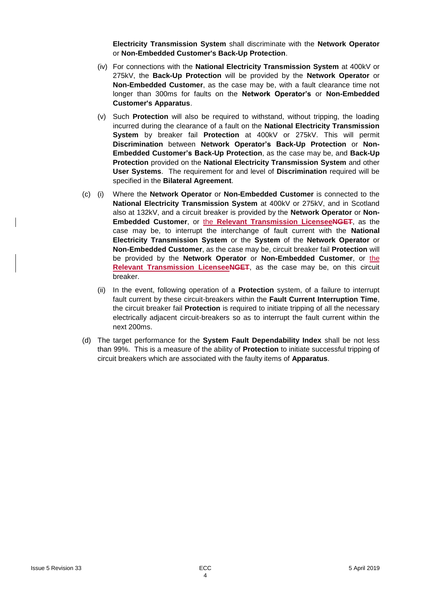**Electricity Transmission System** shall discriminate with the **Network Operator** or **Non-Embedded Customer's Back-Up Protection**.

- (iv) For connections with the **National Electricity Transmission System** at 400kV or 275kV, the **Back-Up Protection** will be provided by the **Network Operator** or **Non-Embedded Customer**, as the case may be, with a fault clearance time not longer than 300ms for faults on the **Network Operator's** or **Non-Embedded Customer's Apparatus**.
- (v) Such **Protection** will also be required to withstand, without tripping, the loading incurred during the clearance of a fault on the **National Electricity Transmission System** by breaker fail **Protection** at 400kV or 275kV. This will permit **Discrimination** between **Network Operator's Back-Up Protection** or **Non-Embedded Customer's Back-Up Protection**, as the case may be, and **Back-Up Protection** provided on the **National Electricity Transmission System** and other **User Systems**. The requirement for and level of **Discrimination** required will be specified in the **Bilateral Agreement**.
- (c) (i) Where the **Network Operator** or **Non-Embedded Customer** is connected to the **National Electricity Transmission System** at 400kV or 275kV, and in Scotland also at 132kV, and a circuit breaker is provided by the **Network Operator** or **Non-Embedded Customer**, or the **Relevant Transmission LicenseeNGET**, as the case may be, to interrupt the interchange of fault current with the **National Electricity Transmission System** or the **System** of the **Network Operator** or **Non-Embedded Customer**, as the case may be, circuit breaker fail **Protection** will be provided by the **Network Operator** or **Non-Embedded Customer**, or the **Relevant Transmission LicenseeNGET**, as the case may be, on this circuit breaker.
	- (ii) In the event, following operation of a **Protection** system, of a failure to interrupt fault current by these circuit-breakers within the **Fault Current Interruption Time**, the circuit breaker fail **Protection** is required to initiate tripping of all the necessary electrically adjacent circuit-breakers so as to interrupt the fault current within the next 200ms.
- (d) The target performance for the **System Fault Dependability Index** shall be not less than 99%. This is a measure of the ability of **Protection** to initiate successful tripping of circuit breakers which are associated with the faulty items of **Apparatus**.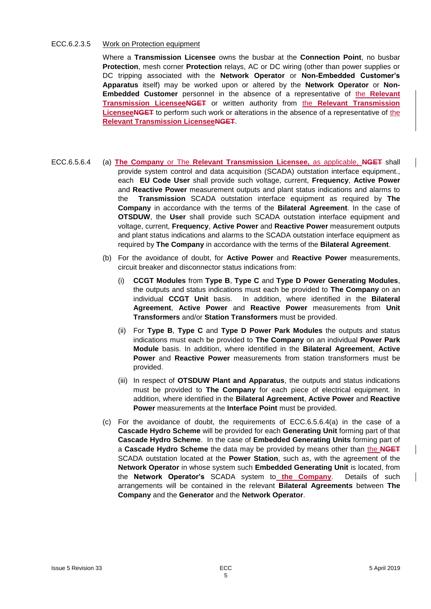#### ECC.6.2.3.5 Work on Protection equipment

Where a **Transmission Licensee** owns the busbar at the **Connection Point**, no busbar **Protection**, mesh corner **Protection** relays, AC or DC wiring (other than power supplies or DC tripping associated with the **Network Operator** or **Non-Embedded Customer's Apparatus** itself) may be worked upon or altered by the **Network Operator** or **Non-Embedded Customer** personnel in the absence of a representative of the **Relevant Transmission LicenseeNGET** or written authority from the **Relevant Transmission LicenseeNGET** to perform such work or alterations in the absence of a representative of the **Relevant Transmission LicenseeNGET**.

- ECC.6.5.6.4 (a) **The Company** or The **Relevant Transmission Licensee,** as applicable, **NGET** shall provide system control and data acquisition (SCADA) outstation interface equipment., each **EU Code User** shall provide such voltage, current, **Frequency**, **Active Power** and **Reactive Power** measurement outputs and plant status indications and alarms to the **Transmission** SCADA outstation interface equipment as required by **The Company** in accordance with the terms of the **Bilateral Agreement**. In the case of **OTSDUW**, the **User** shall provide such SCADA outstation interface equipment and voltage, current, **Frequency**, **Active Power** and **Reactive Power** measurement outputs and plant status indications and alarms to the SCADA outstation interface equipment as required by **The Company** in accordance with the terms of the **Bilateral Agreement**.
	- (b) For the avoidance of doubt, for **Active Power** and **Reactive Power** measurements, circuit breaker and disconnector status indications from:
		- (i) **CCGT Modules** from **Type B**, **Type C** and **Type D Power Generating Modules**, the outputs and status indications must each be provided to **The Company** on an individual **CCGT Unit** basis. In addition, where identified in the **Bilateral Agreement**, **Active Power** and **Reactive Power** measurements from **Unit Transformers** and/or **Station Transformers** must be provided.
		- (ii) For **Type B**, **Type C** and **Type D Power Park Modules** the outputs and status indications must each be provided to **The Company** on an individual **Power Park Module** basis. In addition, where identified in the **Bilateral Agreement**, **Active Power** and **Reactive Power** measurements from station transformers must be provided.
		- (iii) In respect of **OTSDUW Plant and Apparatus**, the outputs and status indications must be provided to **The Company** for each piece of electrical equipment. In addition, where identified in the **Bilateral Agreement**, **Active Power** and **Reactive Power** measurements at the **Interface Point** must be provided.
	- (c) For the avoidance of doubt, the requirements of ECC.6.5.6.4(a) in the case of a **Cascade Hydro Scheme** will be provided for each **Generating Unit** forming part of that **Cascade Hydro Scheme**. In the case of **Embedded Generating Units** forming part of a **Cascade Hydro Scheme** the data may be provided by means other than the **NGET** SCADA outstation located at the **Power Station**, such as, with the agreement of the **Network Operator** in whose system such **Embedded Generating Unit** is located, from the **Network Operator's** SCADA system to **the Company**. Details of such arrangements will be contained in the relevant **Bilateral Agreements** between **The Company** and the **Generator** and the **Network Operator**.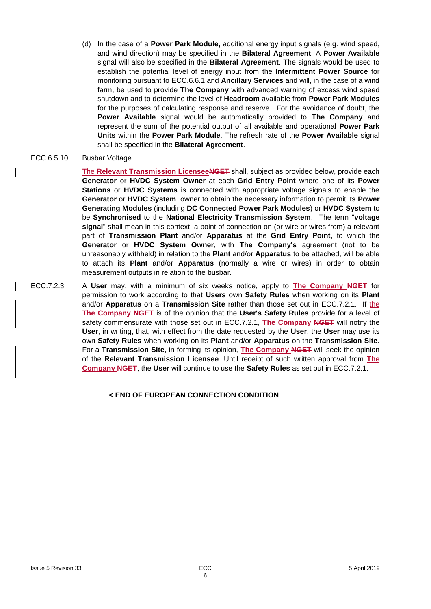(d) In the case of a **Power Park Module,** additional energy input signals (e.g. wind speed, and wind direction) may be specified in the **Bilateral Agreement**. A **Power Available** signal will also be specified in the **Bilateral Agreement**. The signals would be used to establish the potential level of energy input from the **Intermittent Power Source** for monitoring pursuant to ECC.6.6.1 and **Ancillary Services** and will, in the case of a wind farm, be used to provide **The Company** with advanced warning of excess wind speed shutdown and to determine the level of **Headroom** available from **Power Park Modules** for the purposes of calculating response and reserve. For the avoidance of doubt, the **Power Available** signal would be automatically provided to **The Company** and represent the sum of the potential output of all available and operational **Power Park Units** within the **Power Park Module**. The refresh rate of the **Power Available** signal shall be specified in the **Bilateral Agreement**.

#### ECC.6.5.10 Busbar Voltage

**T**he **Relevant Transmission LicenseeNGET** shall, subject as provided below, provide each **Generator** or **HVDC System Owner** at each **Grid Entry Point** where one of its **Power Stations** or **HVDC Systems** is connected with appropriate voltage signals to enable the **Generator** or **HVDC System** owner to obtain the necessary information to permit its **Power Generating Modules** (including **DC Connected Power Park Modules**) or **HVDC System** to be **Synchronised** to the **National Electricity Transmission System**. The term "**voltage signal**" shall mean in this context, a point of connection on (or wire or wires from) a relevant part of **Transmission Plant** and/or **Apparatus** at the **Grid Entry Point**, to which the **Generator** or **HVDC System Owner**, with **The Company's** agreement (not to be unreasonably withheld) in relation to the **Plant** and/or **Apparatus** to be attached, will be able to attach its **Plant** and/or **Apparatus** (normally a wire or wires) in order to obtain measurement outputs in relation to the busbar.

ECC.7.2.3 A **User** may, with a minimum of six weeks notice, apply to **The Company NGET** for permission to work according to that **Users** own **Safety Rules** when working on its **Plant** and/or **Apparatus** on a **Transmission Site** rather than those set out in ECC.7.2.1. If the **The Company NGET** is of the opinion that the **User's Safety Rules** provide for a level of safety commensurate with those set out in ECC.7.2.1, **The Company NGET** will notify the **User**, in writing, that, with effect from the date requested by the **User**, the **User** may use its own **Safety Rules** when working on its **Plant** and/or **Apparatus** on the **Transmission Site**. For a **Transmission Site**, in forming its opinion, **The Company NGET** will seek the opinion of the **Relevant Transmission Licensee**. Until receipt of such written approval from **The Company NGET**, the **User** will continue to use the **Safety Rules** as set out in ECC.7.2.1.

#### **< END OF EUROPEAN CONNECTION CONDITION**